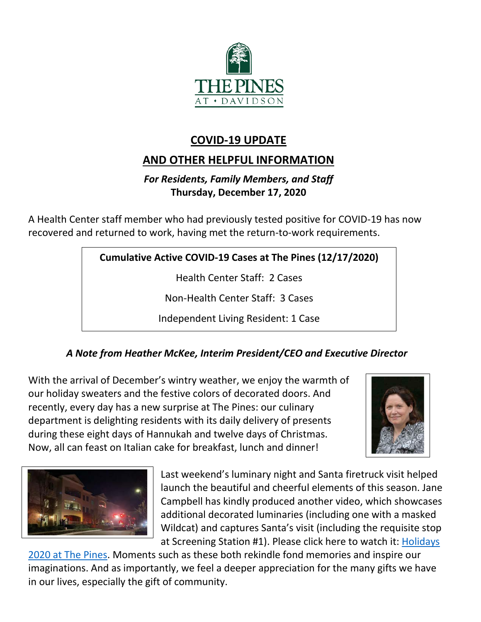

# **COVID-19 UPDATE**

# **AND OTHER HELPFUL INFORMATION**

# *For Residents, Family Members, and Staff* **Thursday, December 17, 2020**

A Health Center staff member who had previously tested positive for COVID-19 has now recovered and returned to work, having met the return-to-work requirements.

**Cumulative Active COVID-19 Cases at The Pines (12/17/2020)**

Health Center Staff: 2 Cases

Non-Health Center Staff: 3 Cases

Independent Living Resident: 1 Case

# *A Note from Heather McKee, Interim President/CEO and Executive Director*

With the arrival of December's wintry weather, we enjoy the warmth of our holiday sweaters and the festive colors of decorated doors. And recently, every day has a new surprise at The Pines: our culinary department is delighting residents with its daily delivery of presents during these eight days of Hannukah and twelve days of Christmas. Now, all can feast on Italian cake for breakfast, lunch and dinner!





Last weekend's luminary night and Santa firetruck visit helped launch the beautiful and cheerful elements of this season. Jane Campbell has kindly produced another video, which showcases additional decorated luminaries (including one with a masked Wildcat) and captures Santa's visit (including the requisite stop at Screening Station #1). Please click here to watch it: [Holidays](https://youtu.be/ahUwXWvb5Fs) 

[2020 at The Pines.](https://youtu.be/ahUwXWvb5Fs) Moments such as these both rekindle fond memories and inspire our imaginations. And as importantly, we feel a deeper appreciation for the many gifts we have in our lives, especially the gift of community.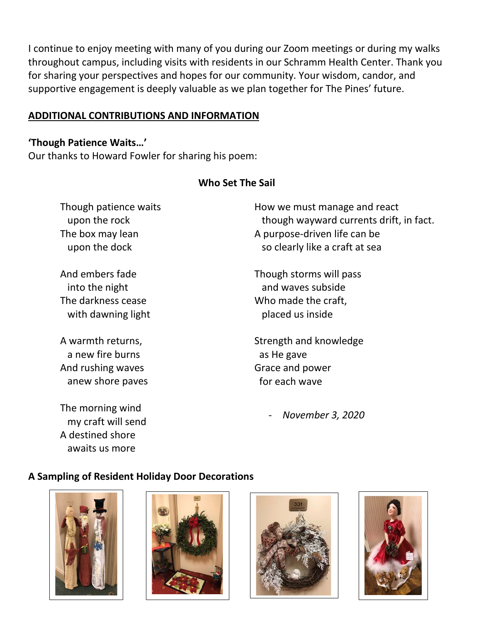I continue to enjoy meeting with many of you during our Zoom meetings or during my walks throughout campus, including visits with residents in our Schramm Health Center. Thank you for sharing your perspectives and hopes for our community. Your wisdom, candor, and supportive engagement is deeply valuable as we plan together for The Pines' future.

### **ADDITIONAL CONTRIBUTIONS AND INFORMATION**

#### **'Though Patience Waits…'**

Our thanks to Howard Fowler for sharing his poem:

### **Who Set The Sail**

Though patience waits upon the rock The box may lean upon the dock

And embers fade into the night The darkness cease with dawning light

A warmth returns, a new fire burns And rushing waves anew shore paves

The morning wind my craft will send A destined shore awaits us more

How we must manage and react though wayward currents drift, in fact. A purpose-driven life can be so clearly like a craft at sea

Though storms will pass and waves subside Who made the craft, placed us inside

Strength and knowledge as He gave Grace and power for each wave

- *November 3, 2020*

## **A Sampling of Resident Holiday Door Decorations**